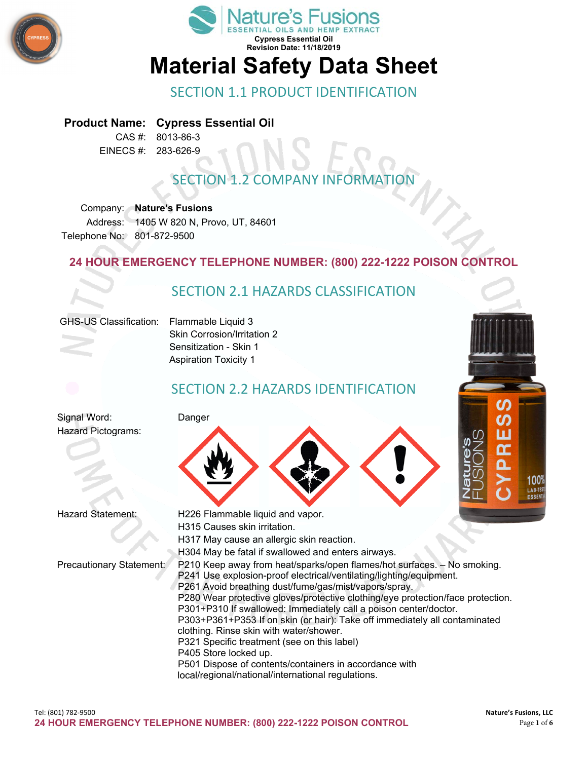



#### SECTION 1.1 PRODUCT IDENTIFICATION

#### **Product Name: Cypress Essential Oil**

CAS #: 8013-86-3 EINECS #: 283-626-9

# **SECTION 1.2 COMPANY INFORMAT**

Company: **Nature's Fusions** Address: 1405 W 820 N, Provo, UT, 84601 Telephone No: 801-872-9500

#### **24 HOUR EMERGENCY TELEPHONE NUMBER: (800) 222-1222 POISON CONTROL**



P303+P361+P353 If on skin (or hair): Take off immediately all contaminated clothing. Rinse skin with water/shower.

P321 Specific treatment (see on this label)

- P405 Store locked up.
- P501 Dispose of contents/containers in accordance with local/regional/national/international regulations.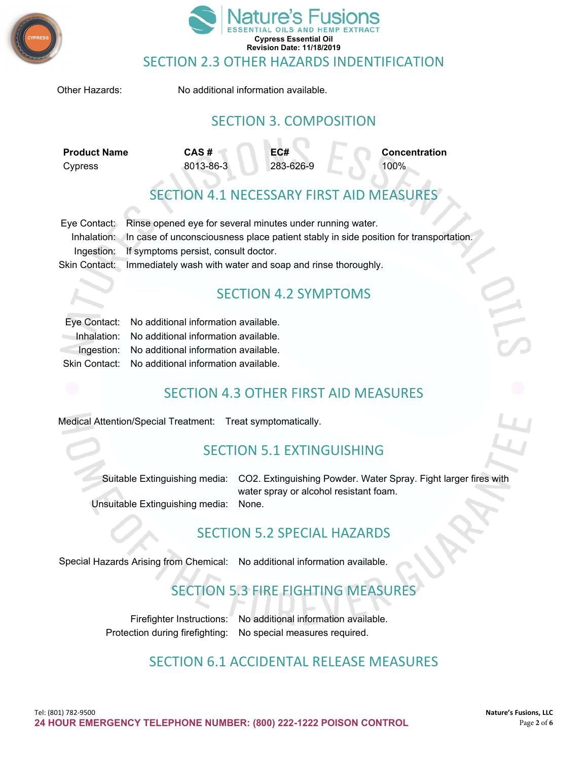



#### SECTION 2.3 OTHER HAZARDS INDENTIFICATION

Other Hazards: No additional information available.

#### SECTION 3. COMPOSITION

**Product Name CAS # EC# Concentration** Cypress 8013-86-3 283-626-9 100%

## TION 4.1 NECESSARY FIRST AID MEASURE

| Eye Contact: Rinse opened eye for several minutes under running water.                           |  |
|--------------------------------------------------------------------------------------------------|--|
| Inhalation: In case of unconsciousness place patient stably in side position for transportation. |  |
| Ingestion: If symptoms persist, consult doctor.                                                  |  |
| Skin Contact: Immediately wash with water and soap and rinse thoroughly.                         |  |

#### SECTION 4.2 SYMPTOMS

| Eye Contact: No additional information available.  |
|----------------------------------------------------|
| Inhalation: No additional information available.   |
| Ingestion: No additional information available.    |
| Skin Contact: No additional information available. |

#### SECTION 4.3 OTHER FIRST AID MEASURES

Medical Attention/Special Treatment: Treat symptomatically.

#### SECTION 5.1 EXTINGUISHING

Suitable Extinguishing media: CO2. Extinguishing Powder. Water Spray. Fight larger fires with water spray or alcohol resistant foam. Unsuitable Extinguishing media: None.

#### SECTION 5.2 SPECIAL HAZARDS

Special Hazards Arising from Chemical: No additional information available.

## SECTION 5.3 FIRE FIGHTING MEASURES

Firefighter Instructions: No additional information available. Protection during firefighting: No special measures required.

#### SECTION 6.1 ACCIDENTAL RELEASE MEASURES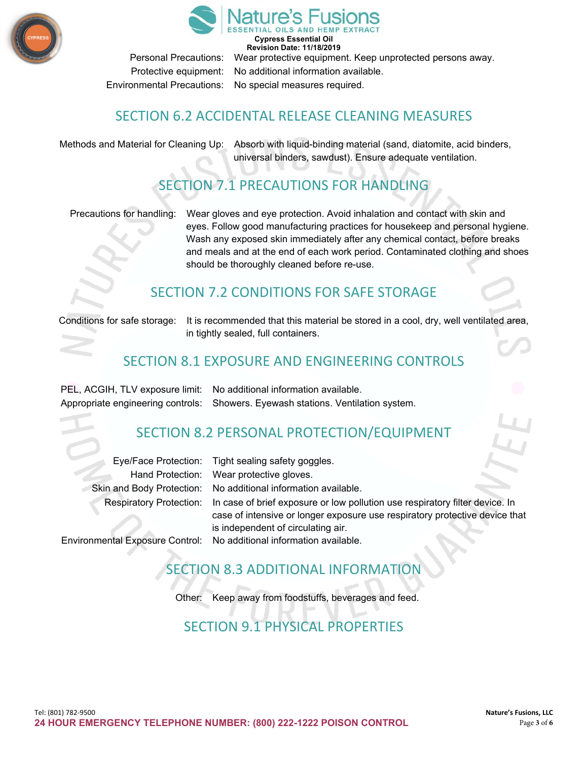



**Cypress Essential Oil Revision Date: 11/18/2019** Personal Precautions: Wear protective equipment. Keep unprotected persons away. Protective equipment: No additional information available. Environmental Precautions: No special measures required.

#### SECTION 6.2 ACCIDENTAL RELEASE CLEANING MEASURES

Methods and Material for Cleaning Up: Absorb with liquid-binding material (sand, diatomite, acid binders, universal binders, sawdust). Ensure adequate ventilation.

# SECTION 7.1 PRECAUTIONS FOR HANDLING

Precautions for handling: Wear gloves and eye protection. Avoid inhalation and contact with skin and eyes. Follow good manufacturing practices for housekeep and personal hygiene. Wash any exposed skin immediately after any chemical contact, before breaks and meals and at the end of each work period. Contaminated clothing and shoes should be thoroughly cleaned before re-use.

#### SECTION 7.2 CONDITIONS FOR SAFE STORAGE

Conditions for safe storage: It is recommended that this material be stored in a cool, dry, well ventilated area, in tightly sealed, full containers.

#### SECTION 8.1 EXPOSURE AND ENGINEERING CONTROLS

PEL, ACGIH, TLV exposure limit: No additional information available. Appropriate engineering controls: Showers. Eyewash stations. Ventilation system.

#### SECTION 8.2 PERSONAL PROTECTION/EQUIPMENT

| Eye/Face Protection: Tight sealing safety goggles.                                                   |
|------------------------------------------------------------------------------------------------------|
| Hand Protection: Wear protective gloves.                                                             |
| Skin and Body Protection: No additional information available.                                       |
| Respiratory Protection: In case of brief exposure or low pollution use respiratory filter device. In |
| case of intensive or longer exposure use respiratory protective device that                          |
| is independent of circulating air.                                                                   |

Environmental Exposure Control: No additional information available.

## SECTION 8.3 ADDITIONAL INFORMATION

Other: Keep away from foodstuffs, beverages and feed.

## SECTION 9.1 PHYSICAL PROPERTIES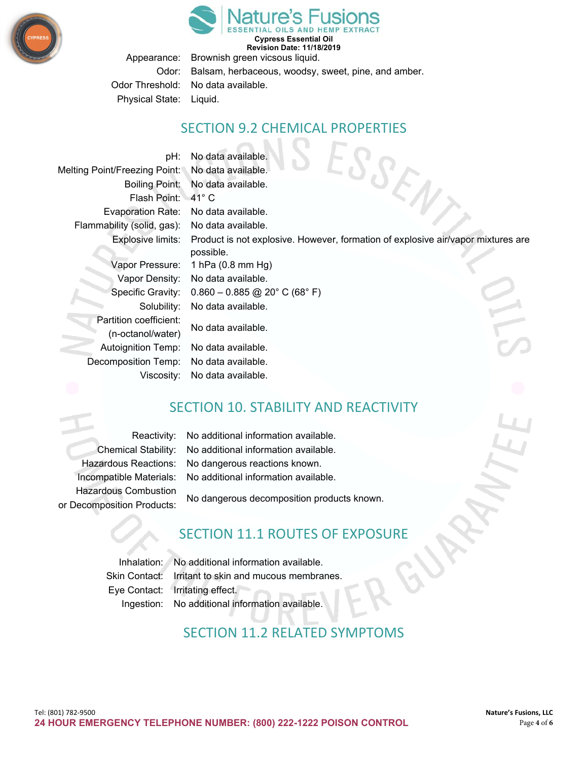



**Cypress Essential Oil Revision Date: 11/18/2019**

Appearance: Brownish green vicsous liquid. Odor: Balsam, herbaceous, woodsy, sweet, pine, and amber. Odor Threshold: No data available. Physical State: Liquid.

#### SECTION 9.2 CHEMICAL PROPERTIES

pH: No data available. EN, Melting Point/Freezing Point: No data available. Boiling Point: No data available. Flash Point: 41° C Evaporation Rate: No data available. Flammability (solid, gas): No data available. Explosive limits: Product is not explosive. However, formation of explosive air/vapor mixtures are possible. Vapor Pressure: 1 hPa (0.8 mm Hg) Vapor Density: No data available. Specific Gravity: 0.860 – 0.885 @ 20° C (68° F) Solubility: No data available. Partition coefficient: No data available. (n-octanol/water) Autoignition Temp: No data available. Decomposition Temp: No data available. Viscosity: No data available.

#### SECTION 10. STABILITY AND REACTIVITY

Hazardous Combustion

Reactivity: No additional information available. Chemical Stability: No additional information available. Hazardous Reactions: No dangerous reactions known. Incompatible Materials: No additional information available.

No dangerous decomposition products known. or Decomposition Products:

#### SECTION 11.1 ROUTES OF EXPOSURE

Inhalation: No additional information available. Skin Contact: Irritant to skin and mucous membranes. Eye Contact: Irritating effect. Ingestion: No additional information available.

## SECTION 11.2 RELATED SYMPTOMS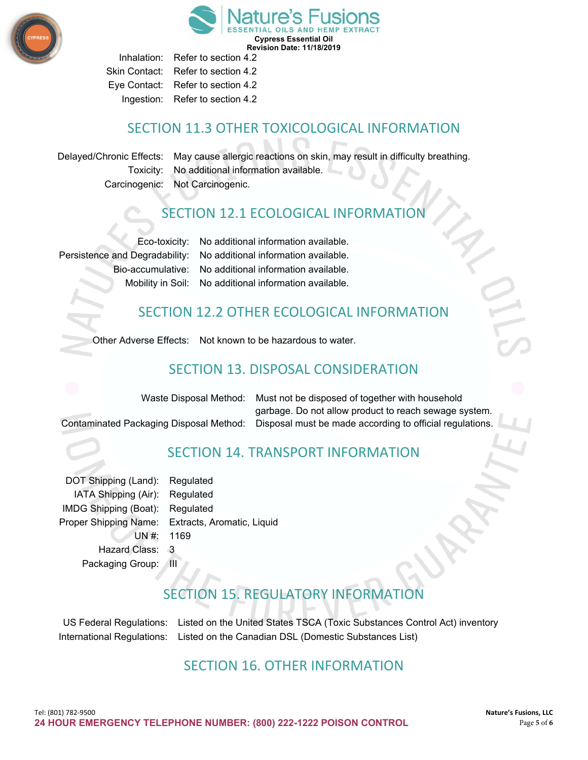

**Cypress Essential Oil Revision Date: 11/18/2019**

Inhalation: Refer to section 4.2 Skin Contact: Refer to section 4.2 Eye Contact: Refer to section 4.2 Ingestion: Refer to section 4.2

#### SECTION 11.3 OTHER TOXICOLOGICAL INFORMATION

Delayed/Chronic Effects: May cause allergic reactions on skin, may result in difficulty breathing. Toxicity: No additional information available. Carcinogenic: Not Carcinogenic.

#### SECTION 12.1 ECOLOGICAL INFORMATION

Eco-toxicity: No additional information available. Persistence and Degradability: No additional information available. Bio-accumulative: No additional information available. Mobility in Soil: No additional information available.

#### SECTION 12.2 OTHER ECOLOGICAL INFORMATION

Other Adverse Effects: Not known to be hazardous to water.

#### SECTION 13. DISPOSAL CONSIDERATION

Waste Disposal Method: Must not be disposed of together with household garbage. Do not allow product to reach sewage system. Contaminated Packaging Disposal Method: Disposal must be made according to official regulations.

# SECTION 14. TRANSPORT INFORMATION

| DOT Shipping (Land):  | Regulated       |
|-----------------------|-----------------|
| IATA Shipping (Air):  | Regulated       |
| IMDG Shipping (Boat): | Regulated       |
| Proper Shipping Name: | Extracts, Aroma |
| UN#: 1169             |                 |
| <b>Hazard Class:</b>  | 3               |
| Packaging Group:      | Ш               |

Itic, Liquid

# SECTION 15. REGULATORY INFORMATION

US Federal Regulations: Listed on the United States TSCA (Toxic Substances Control Act) inventory International Regulations: Listed on the Canadian DSL (Domestic Substances List)

#### SECTION 16. OTHER INFORMATION